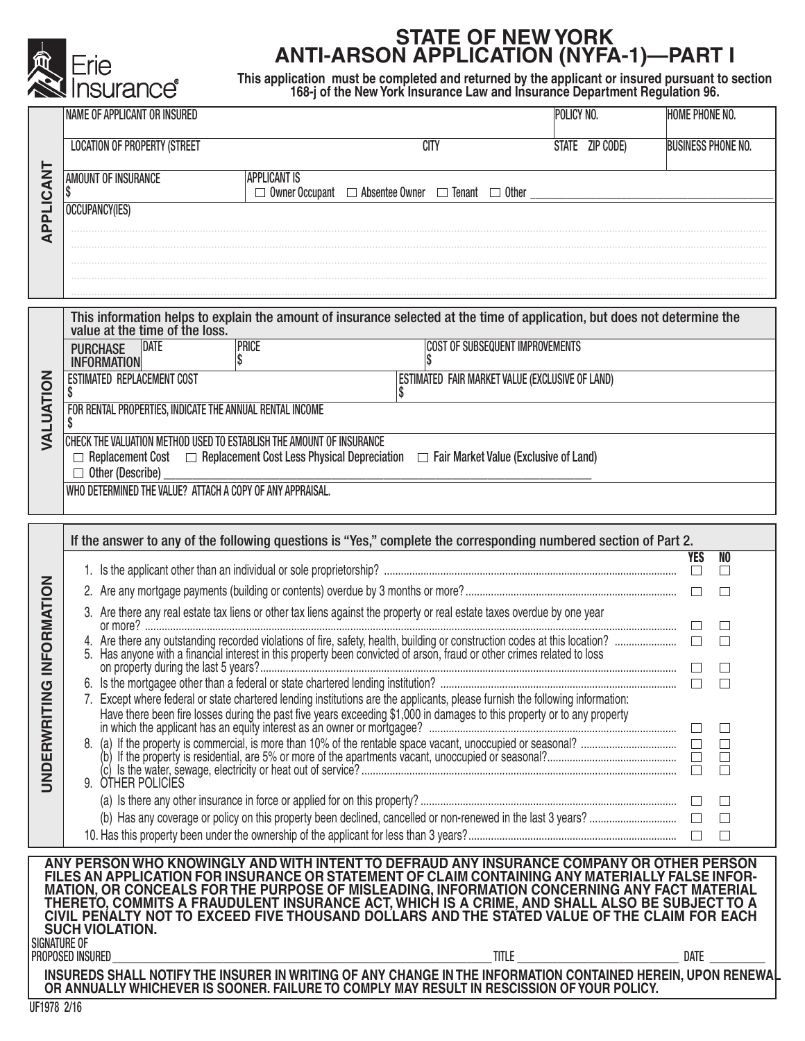

## **STATE OF NEW YORK ANTI-ARSON APPLICATION (NYFA-1)—PART I**

**This application must be completed and returned by the applicant or insured pursuant to section 168-j of the New York Insurance Law and Insurance Department Regulation 96.**

| APPLICANT           | <b>NAME OF APPLICANT OR INSURED</b>                                                                                                                                                                                                                                                       |                                                                                                                                                                                                                                                          |                                                                  | POLICY NO.      | <b>HOME PHONE NO.</b>     |  |  |  |  |
|---------------------|-------------------------------------------------------------------------------------------------------------------------------------------------------------------------------------------------------------------------------------------------------------------------------------------|----------------------------------------------------------------------------------------------------------------------------------------------------------------------------------------------------------------------------------------------------------|------------------------------------------------------------------|-----------------|---------------------------|--|--|--|--|
|                     | <b>LOCATION OF PROPERTY (STREET</b>                                                                                                                                                                                                                                                       |                                                                                                                                                                                                                                                          | <b>CITY</b>                                                      | STATE ZIP CODE) | <b>BUSINESS PHONE NO.</b> |  |  |  |  |
|                     | <b>AMOUNT OF INSURANCE</b>                                                                                                                                                                                                                                                                | <b>APPLICANT IS</b>                                                                                                                                                                                                                                      |                                                                  |                 |                           |  |  |  |  |
|                     | <b>OCCUPANCY(IES)</b>                                                                                                                                                                                                                                                                     |                                                                                                                                                                                                                                                          | □ Owner Occupant □ Absentee Owner □ Tenant □ Other _____________ |                 |                           |  |  |  |  |
|                     |                                                                                                                                                                                                                                                                                           |                                                                                                                                                                                                                                                          |                                                                  |                 |                           |  |  |  |  |
|                     |                                                                                                                                                                                                                                                                                           |                                                                                                                                                                                                                                                          |                                                                  |                 |                           |  |  |  |  |
|                     |                                                                                                                                                                                                                                                                                           |                                                                                                                                                                                                                                                          |                                                                  |                 |                           |  |  |  |  |
| VALUATION           | This information helps to explain the amount of insurance selected at the time of application, but does not determine the value at the time of the loss.                                                                                                                                  |                                                                                                                                                                                                                                                          |                                                                  |                 |                           |  |  |  |  |
|                     | PURCHASE DATE<br><b>INFORMATION</b>                                                                                                                                                                                                                                                       | <b>PRICE</b>                                                                                                                                                                                                                                             | <b>COST OF SUBSEQUENT IMPROVEMENTS</b>                           |                 |                           |  |  |  |  |
|                     | <b>ESTIMATED REPLACEMENT COST</b><br>\$                                                                                                                                                                                                                                                   |                                                                                                                                                                                                                                                          | ESTIMATED FAIR MARKET VALUE (EXCLUSIVE OF LAND)                  |                 |                           |  |  |  |  |
|                     | FOR RENTAL PROPERTIES, INDICATE THE ANNUAL RENTAL INCOME<br>\$                                                                                                                                                                                                                            |                                                                                                                                                                                                                                                          |                                                                  |                 |                           |  |  |  |  |
|                     | CHECK THE VALUATION METHOD USED TO ESTABLISH THE AMOUNT OF INSURANCE                                                                                                                                                                                                                      |                                                                                                                                                                                                                                                          |                                                                  |                 |                           |  |  |  |  |
|                     | $\Box$ Replacement Cost $\Box$ Replacement Cost Less Physical Depreciation $\Box$ Fair Market Value (Exclusive of Land)<br>$\Box$ Other (Describe)                                                                                                                                        |                                                                                                                                                                                                                                                          |                                                                  |                 |                           |  |  |  |  |
|                     | WHO DETERMINED THE VALUE? ATTACH A COPY OF ANY APPRAISAL.                                                                                                                                                                                                                                 |                                                                                                                                                                                                                                                          |                                                                  |                 |                           |  |  |  |  |
|                     | If the answer to any of the following questions is "Yes," complete the corresponding numbered section of Part 2.                                                                                                                                                                          |                                                                                                                                                                                                                                                          |                                                                  |                 |                           |  |  |  |  |
| INFORMATION         |                                                                                                                                                                                                                                                                                           |                                                                                                                                                                                                                                                          |                                                                  |                 | <b>YES</b><br>NO<br>□     |  |  |  |  |
|                     |                                                                                                                                                                                                                                                                                           |                                                                                                                                                                                                                                                          |                                                                  |                 | $\Box$<br>П               |  |  |  |  |
|                     |                                                                                                                                                                                                                                                                                           | 3. Are there any real estate tax liens or other tax liens against the property or real estate taxes overdue by one year                                                                                                                                  |                                                                  |                 |                           |  |  |  |  |
|                     |                                                                                                                                                                                                                                                                                           |                                                                                                                                                                                                                                                          |                                                                  |                 |                           |  |  |  |  |
| ග                   |                                                                                                                                                                                                                                                                                           |                                                                                                                                                                                                                                                          |                                                                  |                 | $\Box$<br>$\Box$          |  |  |  |  |
|                     |                                                                                                                                                                                                                                                                                           | 7. Except where federal or state chartered lending institutions are the applicants, please furnish the following information:<br>Have there been fire losses during the past five years exceeding \$1,000 in damages to this property or to any property |                                                                  |                 |                           |  |  |  |  |
|                     |                                                                                                                                                                                                                                                                                           |                                                                                                                                                                                                                                                          |                                                                  |                 | $\Box$<br>$\Box$          |  |  |  |  |
| <b>UNDERWRITIN</b>  |                                                                                                                                                                                                                                                                                           |                                                                                                                                                                                                                                                          |                                                                  |                 | $\Box$<br>$\Box$          |  |  |  |  |
|                     | 9. OTHER POLICIES                                                                                                                                                                                                                                                                         |                                                                                                                                                                                                                                                          |                                                                  |                 | $\Box$                    |  |  |  |  |
|                     |                                                                                                                                                                                                                                                                                           |                                                                                                                                                                                                                                                          |                                                                  |                 | $\Box$                    |  |  |  |  |
|                     |                                                                                                                                                                                                                                                                                           |                                                                                                                                                                                                                                                          |                                                                  |                 | $\Box$                    |  |  |  |  |
|                     | ANY PERSON WHO KNOWINGLY AND WITH INTENT TO DEFRAUD ANY INSURANCE COMPANY OR OTHER PERSON<br>FILES AN APPLICATION FOR INSURANCE OR STATEMENT OF CLAIM CONTAINING ANY MATERIALLY FALSE INFOR-                                                                                              |                                                                                                                                                                                                                                                          |                                                                  |                 |                           |  |  |  |  |
|                     | MATION, OR CONCEALS FOR THE PURPOSE OF MISLEADING, INFORMATION CONCERNING ANY FACT MATERIAL<br>THERETO, COMMITS A FRAUDULENT INSURANCE ACT, WHICH IS A CRIME, AND SHALL ALSO BE SUBJECT TO A CIVIL PENALTY NOT TO EXCEED FIVE THOUSAND DOLLARS AND THE STATED VALUE OF THE CLAIM FOR EACH |                                                                                                                                                                                                                                                          |                                                                  |                 |                           |  |  |  |  |
| <b>SIGNATURE OF</b> | <b>SUCH VIOLATION.</b>                                                                                                                                                                                                                                                                    |                                                                                                                                                                                                                                                          |                                                                  |                 |                           |  |  |  |  |
|                     | PROPOSED INSURED                                                                                                                                                                                                                                                                          |                                                                                                                                                                                                                                                          |                                                                  |                 | DATE                      |  |  |  |  |
|                     | INSUREDS SHALL NOTIFY THE INSURER IN WRITING OF ANY CHANGE IN THE INFORMATION CONTAINED HEREIN, UPON RENEWAL<br>OR ANNUALLY WHICHEVER IS SOONER. FAILURE TO COMPLY MAY RESULT IN RESCISSION OF YOUR POLICY.                                                                               |                                                                                                                                                                                                                                                          |                                                                  |                 |                           |  |  |  |  |
| UF1978 2/16         |                                                                                                                                                                                                                                                                                           |                                                                                                                                                                                                                                                          |                                                                  |                 |                           |  |  |  |  |